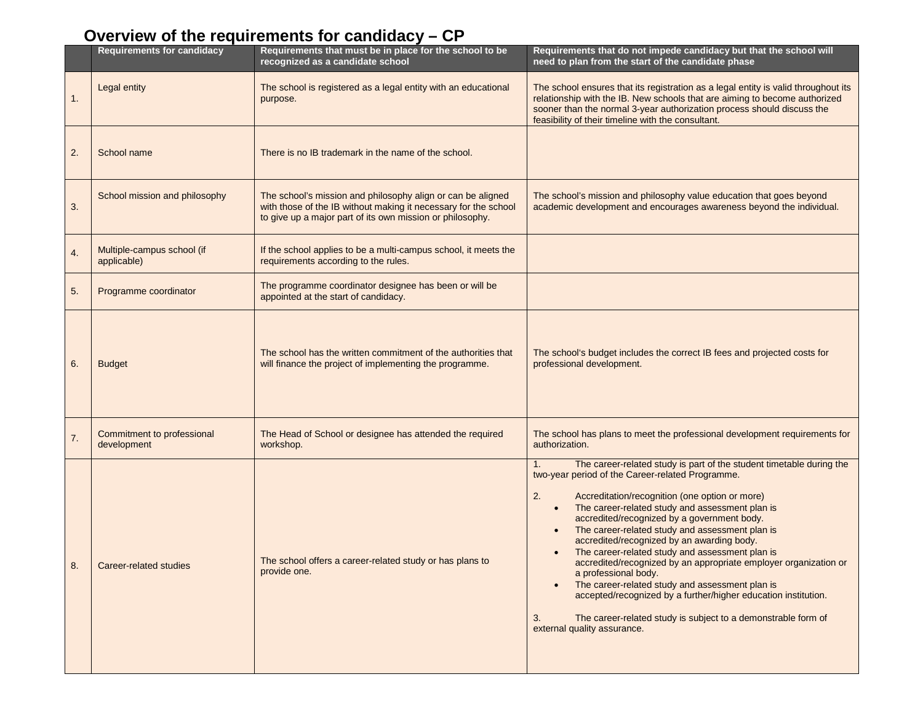## **Overview of the requirements for candidacy – CP**

|    | <b>Requirements for candidacy</b>         | Requirements that must be in place for the school to be<br>recognized as a candidate school                                                                                                 | Requirements that do not impede candidacy but that the school will<br>need to plan from the start of the candidate phase                                                                                                                                                                                                                                                                                                                                                                                                                                                                                                                                                                                                                                                                                   |
|----|-------------------------------------------|---------------------------------------------------------------------------------------------------------------------------------------------------------------------------------------------|------------------------------------------------------------------------------------------------------------------------------------------------------------------------------------------------------------------------------------------------------------------------------------------------------------------------------------------------------------------------------------------------------------------------------------------------------------------------------------------------------------------------------------------------------------------------------------------------------------------------------------------------------------------------------------------------------------------------------------------------------------------------------------------------------------|
| 1. | Legal entity                              | The school is registered as a legal entity with an educational<br>purpose.                                                                                                                  | The school ensures that its registration as a legal entity is valid throughout its<br>relationship with the IB. New schools that are aiming to become authorized<br>sooner than the normal 3-year authorization process should discuss the<br>feasibility of their timeline with the consultant.                                                                                                                                                                                                                                                                                                                                                                                                                                                                                                           |
| 2. | School name                               | There is no IB trademark in the name of the school.                                                                                                                                         |                                                                                                                                                                                                                                                                                                                                                                                                                                                                                                                                                                                                                                                                                                                                                                                                            |
| 3. | School mission and philosophy             | The school's mission and philosophy align or can be aligned<br>with those of the IB without making it necessary for the school<br>to give up a major part of its own mission or philosophy. | The school's mission and philosophy value education that goes beyond<br>academic development and encourages awareness beyond the individual.                                                                                                                                                                                                                                                                                                                                                                                                                                                                                                                                                                                                                                                               |
| 4. | Multiple-campus school (if<br>applicable) | If the school applies to be a multi-campus school, it meets the<br>requirements according to the rules.                                                                                     |                                                                                                                                                                                                                                                                                                                                                                                                                                                                                                                                                                                                                                                                                                                                                                                                            |
| 5. | Programme coordinator                     | The programme coordinator designee has been or will be<br>appointed at the start of candidacy.                                                                                              |                                                                                                                                                                                                                                                                                                                                                                                                                                                                                                                                                                                                                                                                                                                                                                                                            |
| 6. | <b>Budget</b>                             | The school has the written commitment of the authorities that<br>will finance the project of implementing the programme.                                                                    | The school's budget includes the correct IB fees and projected costs for<br>professional development.                                                                                                                                                                                                                                                                                                                                                                                                                                                                                                                                                                                                                                                                                                      |
| 7. | Commitment to professional<br>development | The Head of School or designee has attended the required<br>workshop.                                                                                                                       | The school has plans to meet the professional development requirements for<br>authorization.                                                                                                                                                                                                                                                                                                                                                                                                                                                                                                                                                                                                                                                                                                               |
| 8. | Career-related studies                    | The school offers a career-related study or has plans to<br>provide one.                                                                                                                    | The career-related study is part of the student timetable during the<br>1.<br>two-year period of the Career-related Programme.<br>2.<br>Accreditation/recognition (one option or more)<br>The career-related study and assessment plan is<br>$\bullet$<br>accredited/recognized by a government body.<br>The career-related study and assessment plan is<br>$\bullet$<br>accredited/recognized by an awarding body.<br>The career-related study and assessment plan is<br>accredited/recognized by an appropriate employer organization or<br>a professional body.<br>The career-related study and assessment plan is<br>$\bullet$<br>accepted/recognized by a further/higher education institution.<br>3.<br>The career-related study is subject to a demonstrable form of<br>external quality assurance. |